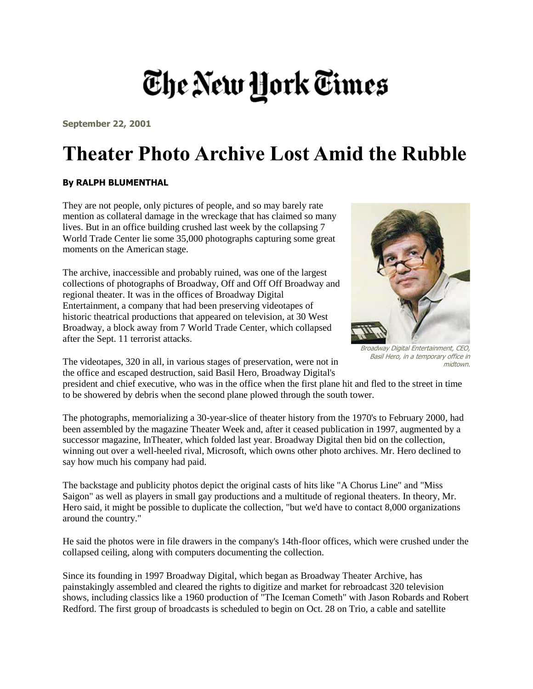## The New York Times

**September 22, 2001**

## **Theater Photo Archive Lost Amid the Rubble**

## **By RALPH BLUMENTHAL**

They are not people, only pictures of people, and so may barely rate mention as collateral damage in the wreckage that has claimed so many lives. But in an office building crushed last week by the collapsing 7 World Trade Center lie some 35,000 photographs capturing some great moments on the American stage.

The archive, inaccessible and probably ruined, was one of the largest collections of photographs of Broadway, Off and Off Off Broadway and regional theater. It was in the offices of Broadway Digital Entertainment, a company that had been preserving videotapes of historic theatrical productions that appeared on television, at 30 West Broadway, a block away from 7 World Trade Center, which collapsed after the Sept. 11 terrorist attacks.



Broadway Digital Entertainment, CEO, Basil Hero, in a temporary office in midtown.

The videotapes, 320 in all, in various stages of preservation, were not in the office and escaped destruction, said Basil Hero, Broadway Digital's

president and chief executive, who was in the office when the first plane hit and fled to the street in time to be showered by debris when the second plane plowed through the south tower.

The photographs, memorializing a 30-year-slice of theater history from the 1970's to February 2000, had been assembled by the magazine Theater Week and, after it ceased publication in 1997, augmented by a successor magazine, InTheater, which folded last year. Broadway Digital then bid on the collection, winning out over a well-heeled rival, Microsoft, which owns other photo archives. Mr. Hero declined to say how much his company had paid.

The backstage and publicity photos depict the original casts of hits like "A Chorus Line" and "Miss Saigon" as well as players in small gay productions and a multitude of regional theaters. In theory, Mr. Hero said, it might be possible to duplicate the collection, "but we'd have to contact 8,000 organizations around the country."

He said the photos were in file drawers in the company's 14th-floor offices, which were crushed under the collapsed ceiling, along with computers documenting the collection.

Since its founding in 1997 Broadway Digital, which began as Broadway Theater Archive, has painstakingly assembled and cleared the rights to digitize and market for rebroadcast 320 television shows, including classics like a 1960 production of "The Iceman Cometh" with Jason Robards and Robert Redford. The first group of broadcasts is scheduled to begin on Oct. 28 on Trio, a cable and satellite